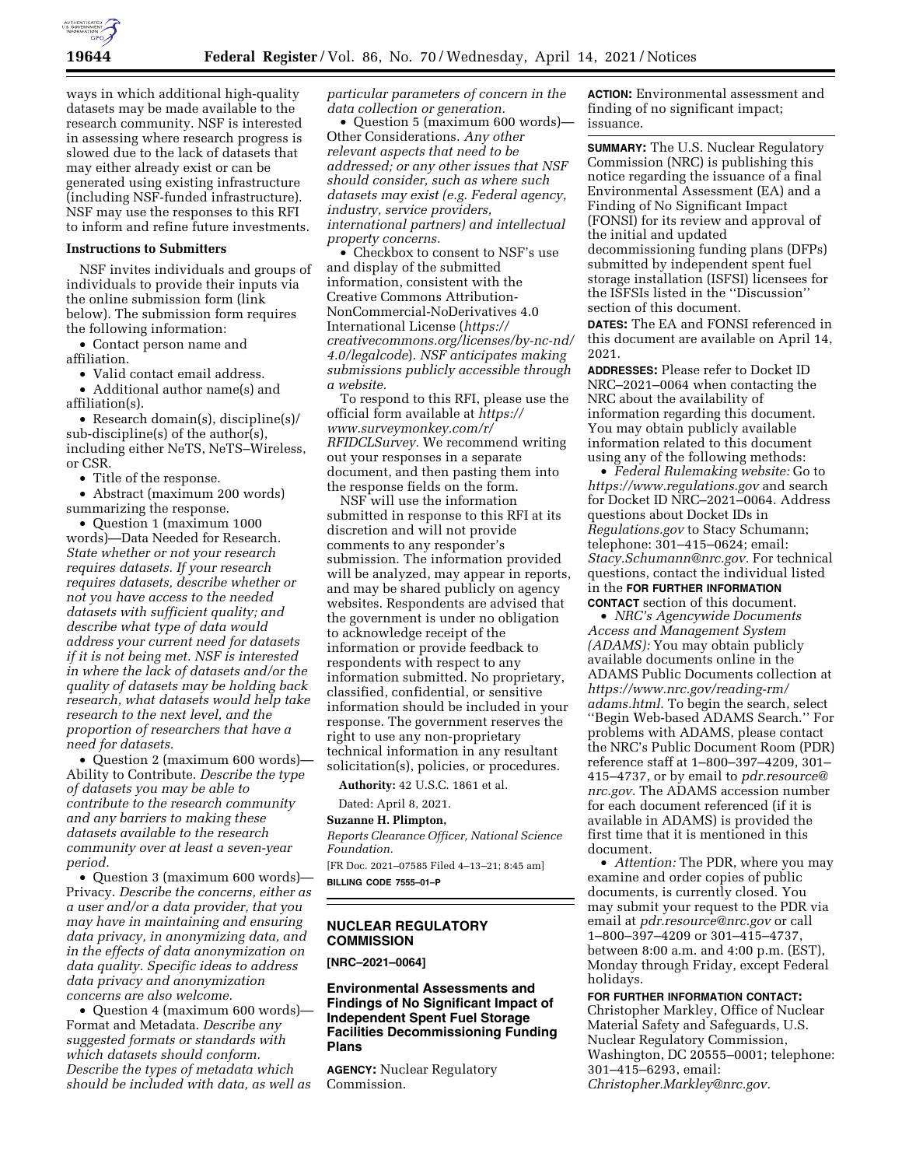

ways in which additional high-quality datasets may be made available to the research community. NSF is interested in assessing where research progress is slowed due to the lack of datasets that may either already exist or can be generated using existing infrastructure (including NSF-funded infrastructure). NSF may use the responses to this RFI to inform and refine future investments.

#### **Instructions to Submitters**

NSF invites individuals and groups of individuals to provide their inputs via the online submission form (link below). The submission form requires the following information:

• Contact person name and affiliation.

• Valid contact email address.

• Additional author name(s) and affiliation(s).

• Research domain(s), discipline(s)/ sub-discipline(s) of the author(s), including either NeTS, NeTS–Wireless, or CSR.

• Title of the response.

• Abstract (maximum 200 words) summarizing the response.

• Question 1 (maximum 1000 words)—Data Needed for Research. *State whether or not your research requires datasets. If your research requires datasets, describe whether or not you have access to the needed datasets with sufficient quality; and describe what type of data would address your current need for datasets if it is not being met. NSF is interested in where the lack of datasets and/or the quality of datasets may be holding back research, what datasets would help take research to the next level, and the proportion of researchers that have a need for datasets.* 

• Question 2 (maximum 600 words)— Ability to Contribute. *Describe the type of datasets you may be able to contribute to the research community and any barriers to making these datasets available to the research community over at least a seven-year period.* 

• Question 3 (maximum 600 words)— Privacy. *Describe the concerns, either as a user and/or a data provider, that you may have in maintaining and ensuring data privacy, in anonymizing data, and in the effects of data anonymization on data quality. Specific ideas to address data privacy and anonymization concerns are also welcome.* 

• Question 4 (maximum 600 words)— Format and Metadata. *Describe any suggested formats or standards with which datasets should conform. Describe the types of metadata which should be included with data, as well as*  *particular parameters of concern in the data collection or generation.* 

• Question 5 (maximum 600 words)— Other Considerations. *Any other relevant aspects that need to be addressed; or any other issues that NSF should consider, such as where such datasets may exist (e.g. Federal agency, industry, service providers, international partners) and intellectual property concerns.* 

• Checkbox to consent to NSF's use and display of the submitted information, consistent with the Creative Commons Attribution-NonCommercial-NoDerivatives 4.0 International License (*[https://](https://creativecommons.org/licenses/by-nc-nd/4.0/legalcode) [creativecommons.org/licenses/by-nc-nd/](https://creativecommons.org/licenses/by-nc-nd/4.0/legalcode)  [4.0/legalcode](https://creativecommons.org/licenses/by-nc-nd/4.0/legalcode)*). *NSF anticipates making submissions publicly accessible through a website.* 

To respond to this RFI, please use the official form available at *[https://](https://www.surveymonkey.com/r/RFIDCLSurvey) [www.surveymonkey.com/r/](https://www.surveymonkey.com/r/RFIDCLSurvey) [RFIDCLSurvey.](https://www.surveymonkey.com/r/RFIDCLSurvey)* We recommend writing out your responses in a separate document, and then pasting them into the response fields on the form.

NSF will use the information submitted in response to this RFI at its discretion and will not provide comments to any responder's submission. The information provided will be analyzed, may appear in reports, and may be shared publicly on agency websites. Respondents are advised that the government is under no obligation to acknowledge receipt of the information or provide feedback to respondents with respect to any information submitted. No proprietary, classified, confidential, or sensitive information should be included in your response. The government reserves the right to use any non-proprietary technical information in any resultant solicitation(s), policies, or procedures.

**Authority:** 42 U.S.C. 1861 et al.

Dated: April 8, 2021.

# **Suzanne H. Plimpton,**

*Reports Clearance Officer, National Science Foundation.* 

[FR Doc. 2021–07585 Filed 4–13–21; 8:45 am] **BILLING CODE 7555–01–P** 

### **NUCLEAR REGULATORY COMMISSION**

**[NRC–2021–0064]** 

**Environmental Assessments and Findings of No Significant Impact of Independent Spent Fuel Storage Facilities Decommissioning Funding Plans** 

**AGENCY:** Nuclear Regulatory Commission.

**ACTION:** Environmental assessment and finding of no significant impact; issuance.

**SUMMARY:** The U.S. Nuclear Regulatory Commission (NRC) is publishing this notice regarding the issuance of a final Environmental Assessment (EA) and a Finding of No Significant Impact (FONSI) for its review and approval of the initial and updated decommissioning funding plans (DFPs) submitted by independent spent fuel storage installation (ISFSI) licensees for the ISFSIs listed in the ''Discussion'' section of this document.

**DATES:** The EA and FONSI referenced in this document are available on April 14, 2021.

**ADDRESSES:** Please refer to Docket ID NRC–2021–0064 when contacting the NRC about the availability of information regarding this document. You may obtain publicly available information related to this document using any of the following methods:

• *Federal Rulemaking website:* Go to *<https://www.regulations.gov>* and search for Docket ID NRC–2021–0064. Address questions about Docket IDs in *Regulations.gov* to Stacy Schumann; telephone: 301–415–0624; email: *[Stacy.Schumann@nrc.gov.](mailto:Stacy.Schumann@nrc.gov)* For technical questions, contact the individual listed in the **FOR FURTHER INFORMATION CONTACT** section of this document.

• *NRC's Agencywide Documents Access and Management System (ADAMS):* You may obtain publicly available documents online in the ADAMS Public Documents collection at *[https://www.nrc.gov/reading-rm/](https://www.nrc.gov/reading-rm/adams.html)  [adams.html.](https://www.nrc.gov/reading-rm/adams.html)* To begin the search, select ''Begin Web-based ADAMS Search.'' For problems with ADAMS, please contact the NRC's Public Document Room (PDR) reference staff at 1–800–397–4209, 301– 415–4737, or by email to *[pdr.resource@](mailto:pdr.resource@nrc.gov) [nrc.gov.](mailto:pdr.resource@nrc.gov)* The ADAMS accession number for each document referenced (if it is available in ADAMS) is provided the first time that it is mentioned in this document.

• *Attention:* The PDR, where you may examine and order copies of public documents, is currently closed. You may submit your request to the PDR via email at *[pdr.resource@nrc.gov](mailto:pdr.resource@nrc.gov)* or call 1–800–397–4209 or 301–415–4737, between 8:00 a.m. and 4:00 p.m. (EST), Monday through Friday, except Federal holidays.

**FOR FURTHER INFORMATION CONTACT:**  Christopher Markley, Office of Nuclear Material Safety and Safeguards, U.S. Nuclear Regulatory Commission, Washington, DC 20555–0001; telephone: 301–415–6293, email: *[Christopher.Markley@nrc.gov.](mailto:Christopher.Markley@nrc.gov)*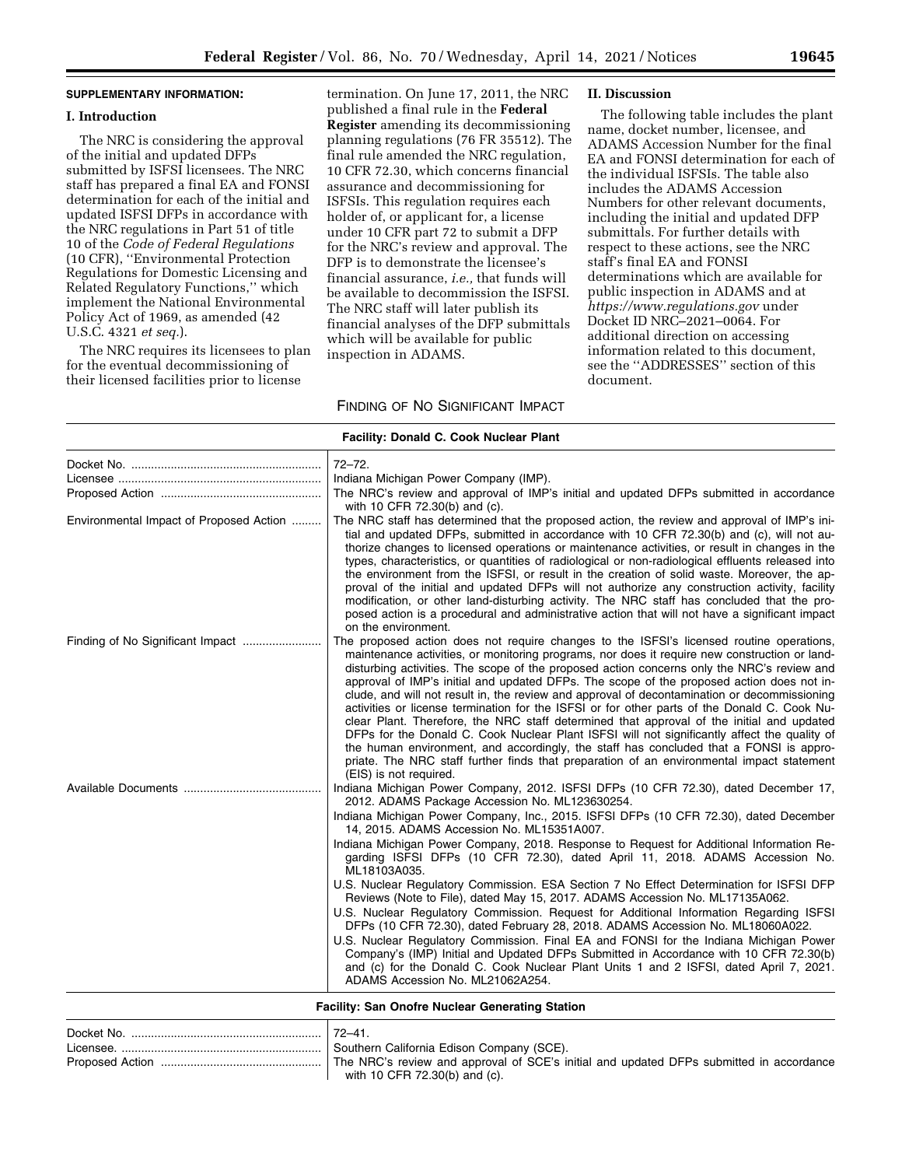# **SUPPLEMENTARY INFORMATION:**

#### **I. Introduction**

The NRC is considering the approval of the initial and updated DFPs submitted by ISFSI licensees. The NRC staff has prepared a final EA and FONSI determination for each of the initial and updated ISFSI DFPs in accordance with the NRC regulations in Part 51 of title 10 of the *Code of Federal Regulations*  (10 CFR), ''Environmental Protection Regulations for Domestic Licensing and Related Regulatory Functions,'' which implement the National Environmental Policy Act of 1969, as amended (42 U.S.C. 4321 *et seq.*).

The NRC requires its licensees to plan for the eventual decommissioning of their licensed facilities prior to license

termination. On June 17, 2011, the NRC published a final rule in the **Federal Register** amending its decommissioning planning regulations (76 FR 35512). The final rule amended the NRC regulation, 10 CFR 72.30, which concerns financial assurance and decommissioning for ISFSIs. This regulation requires each holder of, or applicant for, a license under 10 CFR part 72 to submit a DFP for the NRC's review and approval. The DFP is to demonstrate the licensee's financial assurance, *i.e.,* that funds will be available to decommission the ISFSI. The NRC staff will later publish its financial analyses of the DFP submittals which will be available for public inspection in ADAMS.

# FINDING OF NO SIGNIFICANT IMPACT

#### **II. Discussion**

The following table includes the plant name, docket number, licensee, and ADAMS Accession Number for the final EA and FONSI determination for each of the individual ISFSIs. The table also includes the ADAMS Accession Numbers for other relevant documents, including the initial and updated DFP submittals. For further details with respect to these actions, see the NRC staff's final EA and FONSI determinations which are available for public inspection in ADAMS and at *<https://www.regulations.gov>* under Docket ID NRC–2021–0064. For additional direction on accessing information related to this document, see the ''ADDRESSES'' section of this document.

| <b>Facility: Donald C. Cook Nuclear Plant</b> |                                                                                                                                                                                                                                                                                                                                                                                                                                                                                                                                                                                                                                                                                                                                                                                                                                                                                                                                                                                                    |  |
|-----------------------------------------------|----------------------------------------------------------------------------------------------------------------------------------------------------------------------------------------------------------------------------------------------------------------------------------------------------------------------------------------------------------------------------------------------------------------------------------------------------------------------------------------------------------------------------------------------------------------------------------------------------------------------------------------------------------------------------------------------------------------------------------------------------------------------------------------------------------------------------------------------------------------------------------------------------------------------------------------------------------------------------------------------------|--|
|                                               | $72 - 72$ .<br>Indiana Michigan Power Company (IMP).<br>The NRC's review and approval of IMP's initial and updated DFPs submitted in accordance<br>with 10 CFR 72.30(b) and (c).                                                                                                                                                                                                                                                                                                                                                                                                                                                                                                                                                                                                                                                                                                                                                                                                                   |  |
| Environmental Impact of Proposed Action       | The NRC staff has determined that the proposed action, the review and approval of IMP's ini-<br>tial and updated DFPs, submitted in accordance with 10 CFR 72.30(b) and (c), will not au-<br>thorize changes to licensed operations or maintenance activities, or result in changes in the<br>types, characteristics, or quantities of radiological or non-radiological effluents released into<br>the environment from the ISFSI, or result in the creation of solid waste. Moreover, the ap-<br>proval of the initial and updated DFPs will not authorize any construction activity, facility<br>modification, or other land-disturbing activity. The NRC staff has concluded that the pro-<br>posed action is a procedural and administrative action that will not have a significant impact<br>on the environment.                                                                                                                                                                             |  |
|                                               | The proposed action does not require changes to the ISFSI's licensed routine operations,<br>maintenance activities, or monitoring programs, nor does it require new construction or land-<br>disturbing activities. The scope of the proposed action concerns only the NRC's review and<br>approval of IMP's initial and updated DFPs. The scope of the proposed action does not in-<br>clude, and will not result in, the review and approval of decontamination or decommissioning<br>activities or license termination for the ISFSI or for other parts of the Donald C. Cook Nu-<br>clear Plant. Therefore, the NRC staff determined that approval of the initial and updated<br>DFPs for the Donald C. Cook Nuclear Plant ISFSI will not significantly affect the quality of<br>the human environment, and accordingly, the staff has concluded that a FONSI is appro-<br>priate. The NRC staff further finds that preparation of an environmental impact statement<br>(EIS) is not required. |  |
| Available Documents                           | Indiana Michigan Power Company, 2012. ISFSI DFPs (10 CFR 72.30), dated December 17,<br>2012. ADAMS Package Accession No. ML123630254.<br>Indiana Michigan Power Company, Inc., 2015. ISFSI DFPs (10 CFR 72.30), dated December<br>14, 2015. ADAMS Accession No. ML15351A007.                                                                                                                                                                                                                                                                                                                                                                                                                                                                                                                                                                                                                                                                                                                       |  |
|                                               | Indiana Michigan Power Company, 2018. Response to Request for Additional Information Re-<br>garding ISFSI DFPs (10 CFR 72.30), dated April 11, 2018. ADAMS Accession No.<br>ML18103A035.<br>U.S. Nuclear Regulatory Commission. ESA Section 7 No Effect Determination for ISFSI DFP<br>Reviews (Note to File), dated May 15, 2017. ADAMS Accession No. ML17135A062.<br>U.S. Nuclear Regulatory Commission. Request for Additional Information Regarding ISFSI<br>DFPs (10 CFR 72.30), dated February 28, 2018. ADAMS Accession No. ML18060A022.<br>U.S. Nuclear Regulatory Commission. Final EA and FONSI for the Indiana Michigan Power<br>Company's (IMP) Initial and Updated DFPs Submitted in Accordance with 10 CFR 72.30(b)<br>and (c) for the Donald C. Cook Nuclear Plant Units 1 and 2 ISFSI, dated April 7, 2021.<br>ADAMS Accession No. ML21062A254.                                                                                                                                    |  |

**Facility: San Onofre Nuclear Generating Station** 

| Docket No. | $72 - 41$                                                                               |
|------------|-----------------------------------------------------------------------------------------|
|            |                                                                                         |
|            | The NRC's review and approval of SCE's initial and updated DFPs submitted in accordance |
|            | with 10 CFR 72.30(b) and (c).                                                           |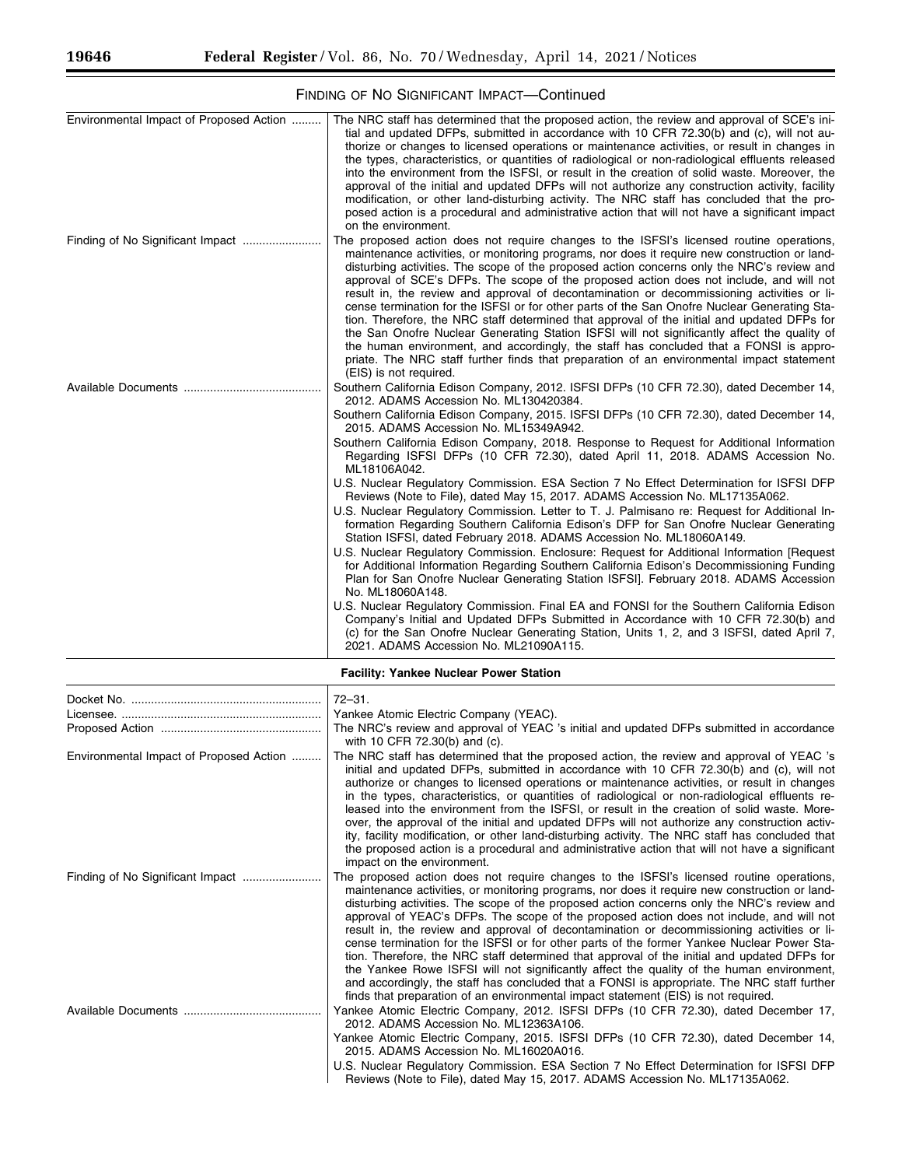۳

| Environmental Impact of Proposed Action | The NRC staff has determined that the proposed action, the review and approval of SCE's ini-<br>tial and updated DFPs, submitted in accordance with 10 CFR 72.30(b) and (c), will not au-<br>thorize or changes to licensed operations or maintenance activities, or result in changes in<br>the types, characteristics, or quantities of radiological or non-radiological effluents released<br>into the environment from the ISFSI, or result in the creation of solid waste. Moreover, the<br>approval of the initial and updated DFPs will not authorize any construction activity, facility<br>modification, or other land-disturbing activity. The NRC staff has concluded that the pro-<br>posed action is a procedural and administrative action that will not have a significant impact<br>on the environment.                                                                                                                                                                          |
|-----------------------------------------|--------------------------------------------------------------------------------------------------------------------------------------------------------------------------------------------------------------------------------------------------------------------------------------------------------------------------------------------------------------------------------------------------------------------------------------------------------------------------------------------------------------------------------------------------------------------------------------------------------------------------------------------------------------------------------------------------------------------------------------------------------------------------------------------------------------------------------------------------------------------------------------------------------------------------------------------------------------------------------------------------|
|                                         | The proposed action does not require changes to the ISFSI's licensed routine operations,<br>maintenance activities, or monitoring programs, nor does it require new construction or land-<br>disturbing activities. The scope of the proposed action concerns only the NRC's review and<br>approval of SCE's DFPs. The scope of the proposed action does not include, and will not<br>result in, the review and approval of decontamination or decommissioning activities or li-<br>cense termination for the ISFSI or for other parts of the San Onofre Nuclear Generating Sta-<br>tion. Therefore, the NRC staff determined that approval of the initial and updated DFPs for<br>the San Onofre Nuclear Generating Station ISFSI will not significantly affect the quality of<br>the human environment, and accordingly, the staff has concluded that a FONSI is appro-<br>priate. The NRC staff further finds that preparation of an environmental impact statement<br>(EIS) is not required. |
|                                         | Southern California Edison Company, 2012. ISFSI DFPs (10 CFR 72.30), dated December 14,<br>2012. ADAMS Accession No. ML130420384.<br>Southern California Edison Company, 2015. ISFSI DFPs (10 CFR 72.30), dated December 14,                                                                                                                                                                                                                                                                                                                                                                                                                                                                                                                                                                                                                                                                                                                                                                     |
|                                         | 2015. ADAMS Accession No. ML15349A942.<br>Southern California Edison Company, 2018. Response to Request for Additional Information<br>Regarding ISFSI DFPs (10 CFR 72.30), dated April 11, 2018. ADAMS Accession No.<br>ML18106A042.<br>U.S. Nuclear Regulatory Commission. ESA Section 7 No Effect Determination for ISFSI DFP<br>Reviews (Note to File), dated May 15, 2017. ADAMS Accession No. ML17135A062.                                                                                                                                                                                                                                                                                                                                                                                                                                                                                                                                                                                  |
|                                         | U.S. Nuclear Regulatory Commission. Letter to T. J. Palmisano re: Reguest for Additional In-<br>formation Regarding Southern California Edison's DFP for San Onofre Nuclear Generating<br>Station ISFSI, dated February 2018. ADAMS Accession No. ML18060A149.                                                                                                                                                                                                                                                                                                                                                                                                                                                                                                                                                                                                                                                                                                                                   |
|                                         | U.S. Nuclear Regulatory Commission. Enclosure: Request for Additional Information [Request<br>for Additional Information Regarding Southern California Edison's Decommissioning Funding<br>Plan for San Onofre Nuclear Generating Station ISFSI]. February 2018. ADAMS Accession<br>No. ML18060A148.                                                                                                                                                                                                                                                                                                                                                                                                                                                                                                                                                                                                                                                                                             |
|                                         | U.S. Nuclear Regulatory Commission. Final EA and FONSI for the Southern California Edison<br>Company's Initial and Updated DFPs Submitted in Accordance with 10 CFR 72.30(b) and<br>(c) for the San Onofre Nuclear Generating Station, Units 1, 2, and 3 ISFSI, dated April 7,<br>2021. ADAMS Accession No. ML21090A115.                                                                                                                                                                                                                                                                                                                                                                                                                                                                                                                                                                                                                                                                         |

# FINDING OF NO SIGNIFICANT IMPACT—Continued

| <b>Facility: Yankee Nuclear Power Station</b> |                                                                                                                                                                                                                                                                                                                                                                                                                                                                                                                                                                                                                                                                                                                                                                                                                                                                                                                                                                  |
|-----------------------------------------------|------------------------------------------------------------------------------------------------------------------------------------------------------------------------------------------------------------------------------------------------------------------------------------------------------------------------------------------------------------------------------------------------------------------------------------------------------------------------------------------------------------------------------------------------------------------------------------------------------------------------------------------------------------------------------------------------------------------------------------------------------------------------------------------------------------------------------------------------------------------------------------------------------------------------------------------------------------------|
|                                               | $72 - 31.$                                                                                                                                                                                                                                                                                                                                                                                                                                                                                                                                                                                                                                                                                                                                                                                                                                                                                                                                                       |
|                                               | Yankee Atomic Electric Company (YEAC).                                                                                                                                                                                                                                                                                                                                                                                                                                                                                                                                                                                                                                                                                                                                                                                                                                                                                                                           |
|                                               | The NRC's review and approval of YEAC 's initial and updated DFPs submitted in accordance<br>with 10 CFR 72.30(b) and (c).                                                                                                                                                                                                                                                                                                                                                                                                                                                                                                                                                                                                                                                                                                                                                                                                                                       |
| Environmental Impact of Proposed Action       | The NRC staff has determined that the proposed action, the review and approval of YEAC 's<br>initial and updated DFPs, submitted in accordance with 10 CFR 72.30(b) and (c), will not<br>authorize or changes to licensed operations or maintenance activities, or result in changes<br>in the types, characteristics, or quantities of radiological or non-radiological effluents re-<br>leased into the environment from the ISFSI, or result in the creation of solid waste. More-<br>over, the approval of the initial and updated DFPs will not authorize any construction activ-<br>ity, facility modification, or other land-disturbing activity. The NRC staff has concluded that<br>the proposed action is a procedural and administrative action that will not have a significant<br>impact on the environment.                                                                                                                                        |
|                                               | The proposed action does not require changes to the ISFSI's licensed routine operations,<br>maintenance activities, or monitoring programs, nor does it require new construction or land-<br>disturbing activities. The scope of the proposed action concerns only the NRC's review and<br>approval of YEAC's DFPs. The scope of the proposed action does not include, and will not<br>result in, the review and approval of decontamination or decommissioning activities or li-<br>cense termination for the ISFSI or for other parts of the former Yankee Nuclear Power Sta-<br>tion. Therefore, the NRC staff determined that approval of the initial and updated DFPs for<br>the Yankee Rowe ISFSI will not significantly affect the quality of the human environment,<br>and accordingly, the staff has concluded that a FONSI is appropriate. The NRC staff further<br>finds that preparation of an environmental impact statement (EIS) is not required. |
|                                               | Yankee Atomic Electric Company, 2012. ISFSI DFPs (10 CFR 72.30), dated December 17,<br>2012. ADAMS Accession No. ML12363A106.<br>Yankee Atomic Electric Company, 2015. ISFSI DFPs (10 CFR 72.30), dated December 14,<br>2015. ADAMS Accession No. ML16020A016.                                                                                                                                                                                                                                                                                                                                                                                                                                                                                                                                                                                                                                                                                                   |
|                                               | U.S. Nuclear Regulatory Commission. ESA Section 7 No Effect Determination for ISFSI DFP                                                                                                                                                                                                                                                                                                                                                                                                                                                                                                                                                                                                                                                                                                                                                                                                                                                                          |

Reviews (Note to File), dated May 15, 2017. ADAMS Accession No. ML17135A062.